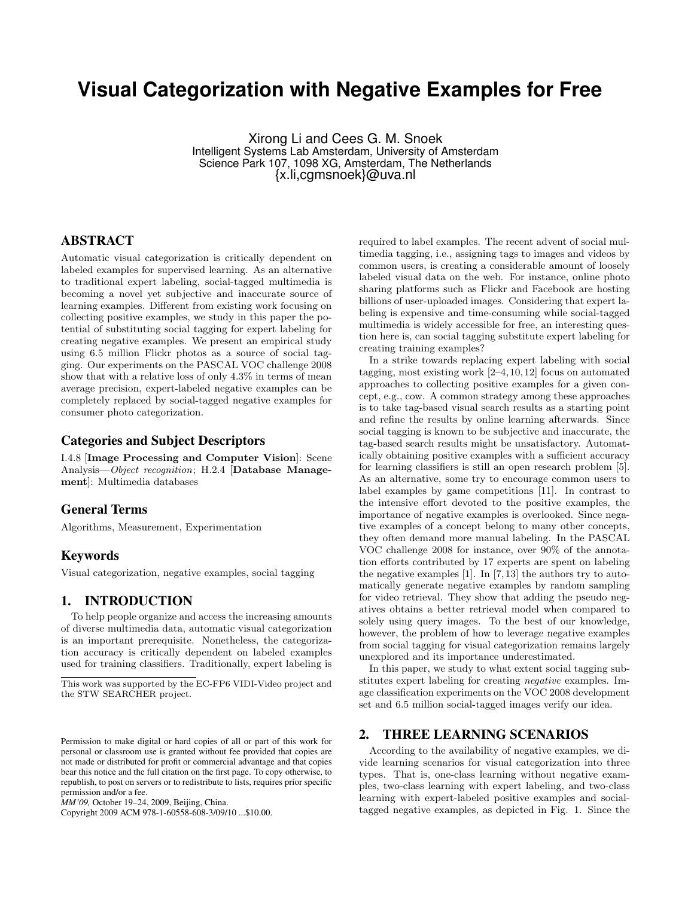# **Visual Categorization with Negative Examples for Free**

Xirong Li and Cees G. M. Snoek Intelligent Systems Lab Amsterdam, University of Amsterdam Science Park 107, 1098 XG, Amsterdam, The Netherlands {x.li,cgmsnoek}@uva.nl

## **ABSTRACT**

Automatic visual categorization is critically dependent on labeled examples for supervised learning. As an alternative to traditional expert labeling, social-tagged multimedia is becoming a novel yet subjective and inaccurate source of learning examples. Different from existing work focusing on collecting positive examples, we study in this paper the potential of substituting social tagging for expert labeling for creating negative examples. We present an empirical study using 6.5 million Flickr photos as a source of social tagging. Our experiments on the PASCAL VOC challenge 2008 show that with a relative loss of only 4.3% in terms of mean average precision, expert-labeled negative examples can be completely replaced by social-tagged negative examples for consumer photo categorization.

## **Categories and Subject Descriptors**

I.4.8 [Image Processing and Computer Vision]: Scene Analysis—Object recognition; H.2.4 [Database Management]: Multimedia databases

## **General Terms**

Algorithms, Measurement, Experimentation

#### **Keywords**

Visual categorization, negative examples, social tagging

## **1. INTRODUCTION**

To help people organize and access the increasing amounts of diverse multimedia data, automatic visual categorization is an important prerequisite. Nonetheless, the categorization accuracy is critically dependent on labeled examples used for training classifiers. Traditionally, expert labeling is

Copyright 2009 ACM 978-1-60558-608-3/09/10 ...\$10.00.

required to label examples. The recent advent of social multimedia tagging, i.e., assigning tags to images and videos by common users, is creating a considerable amount of loosely labeled visual data on the web. For instance, online photo sharing platforms such as Flickr and Facebook are hosting billions of user-uploaded images. Considering that expert labeling is expensive and time-consuming while social-tagged multimedia is widely accessible for free, an interesting question here is, can social tagging substitute expert labeling for creating training examples?

In a strike towards replacing expert labeling with social tagging, most existing work [2–4, 10, 12] focus on automated approaches to collecting positive examples for a given concept, e.g., cow. A common strategy among these approaches is to take tag-based visual search results as a starting point and refine the results by online learning afterwards. Since social tagging is known to be subjective and inaccurate, the tag-based search results might be unsatisfactory. Automatically obtaining positive examples with a sufficient accuracy for learning classifiers is still an open research problem [5]. As an alternative, some try to encourage common users to label examples by game competitions [11]. In contrast to the intensive effort devoted to the positive examples, the importance of negative examples is overlooked. Since negative examples of a concept belong to many other concepts, they often demand more manual labeling. In the PASCAL VOC challenge 2008 for instance, over 90% of the annotation efforts contributed by 17 experts are spent on labeling the negative examples [1]. In [7, 13] the authors try to automatically generate negative examples by random sampling for video retrieval. They show that adding the pseudo negatives obtains a better retrieval model when compared to solely using query images. To the best of our knowledge, however, the problem of how to leverage negative examples from social tagging for visual categorization remains largely unexplored and its importance underestimated.

In this paper, we study to what extent social tagging substitutes expert labeling for creating negative examples. Image classification experiments on the VOC 2008 development set and 6.5 million social-tagged images verify our idea.

#### **2. THREE LEARNING SCENARIOS**

According to the availability of negative examples, we divide learning scenarios for visual categorization into three types. That is, one-class learning without negative examples, two-class learning with expert labeling, and two-class learning with expert-labeled positive examples and socialtagged negative examples, as depicted in Fig. 1. Since the

This work was supported by the EC-FP6 VIDI-Video project and the STW SEARCHER project.

Permission to make digital or hard copies of all or part of this work for personal or classroom use is granted without fee provided that copies are not made or distributed for profit or commercial advantage and that copies bear this notice and the full citation on the first page. To copy otherwise, to republish, to post on servers or to redistribute to lists, requires prior specific permission and/or a fee.

*MM'09,* October 19–24, 2009, Beijing, China.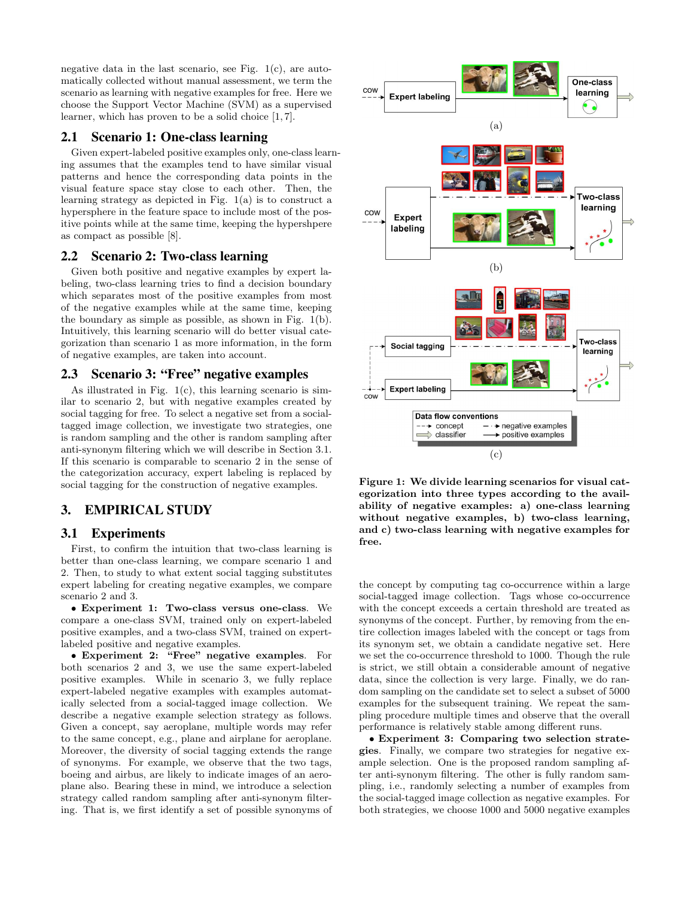negative data in the last scenario, see Fig.  $1(c)$ , are automatically collected without manual assessment, we term the scenario as learning with negative examples for free. Here we choose the Support Vector Machine (SVM) as a supervised learner, which has proven to be a solid choice [1, 7].

## **2.1 Scenario 1: One-class learning**

Given expert-labeled positive examples only, one-class learning assumes that the examples tend to have similar visual patterns and hence the corresponding data points in the visual feature space stay close to each other. Then, the learning strategy as depicted in Fig. 1(a) is to construct a hypersphere in the feature space to include most of the positive points while at the same time, keeping the hypershpere as compact as possible [8].

## **2.2 Scenario 2: Two-class learning**

Given both positive and negative examples by expert labeling, two-class learning tries to find a decision boundary which separates most of the positive examples from most of the negative examples while at the same time, keeping the boundary as simple as possible, as shown in Fig. 1(b). Intuitively, this learning scenario will do better visual categorization than scenario 1 as more information, in the form of negative examples, are taken into account.

# **2.3 Scenario 3: "Free" negative examples**

As illustrated in Fig.  $1(c)$ , this learning scenario is similar to scenario 2, but with negative examples created by social tagging for free. To select a negative set from a socialtagged image collection, we investigate two strategies, one is random sampling and the other is random sampling after anti-synonym filtering which we will describe in Section 3.1. If this scenario is comparable to scenario 2 in the sense of the categorization accuracy, expert labeling is replaced by social tagging for the construction of negative examples.

## **3. EMPIRICAL STUDY**

## **3.1 Experiments**

First, to confirm the intuition that two-class learning is better than one-class learning, we compare scenario 1 and 2. Then, to study to what extent social tagging substitutes expert labeling for creating negative examples, we compare scenario 2 and 3.

• Experiment 1: Two-class versus one-class. We compare a one-class SVM, trained only on expert-labeled positive examples, and a two-class SVM, trained on expertlabeled positive and negative examples.

• Experiment 2: "Free" negative examples. For both scenarios 2 and 3, we use the same expert-labeled positive examples. While in scenario 3, we fully replace expert-labeled negative examples with examples automatically selected from a social-tagged image collection. We describe a negative example selection strategy as follows. Given a concept, say aeroplane, multiple words may refer to the same concept, e.g., plane and airplane for aeroplane. Moreover, the diversity of social tagging extends the range of synonyms. For example, we observe that the two tags, boeing and airbus, are likely to indicate images of an aeroplane also. Bearing these in mind, we introduce a selection strategy called random sampling after anti-synonym filtering. That is, we first identify a set of possible synonyms of



Figure 1: We divide learning scenarios for visual categorization into three types according to the availability of negative examples: a) one-class learning without negative examples, b) two-class learning, and c) two-class learning with negative examples for free.

the concept by computing tag co-occurrence within a large social-tagged image collection. Tags whose co-occurrence with the concept exceeds a certain threshold are treated as synonyms of the concept. Further, by removing from the entire collection images labeled with the concept or tags from its synonym set, we obtain a candidate negative set. Here we set the co-occurrence threshold to 1000. Though the rule is strict, we still obtain a considerable amount of negative data, since the collection is very large. Finally, we do random sampling on the candidate set to select a subset of 5000 examples for the subsequent training. We repeat the sampling procedure multiple times and observe that the overall performance is relatively stable among different runs.

• Experiment 3: Comparing two selection strategies. Finally, we compare two strategies for negative example selection. One is the proposed random sampling after anti-synonym filtering. The other is fully random sampling, i.e., randomly selecting a number of examples from the social-tagged image collection as negative examples. For both strategies, we choose 1000 and 5000 negative examples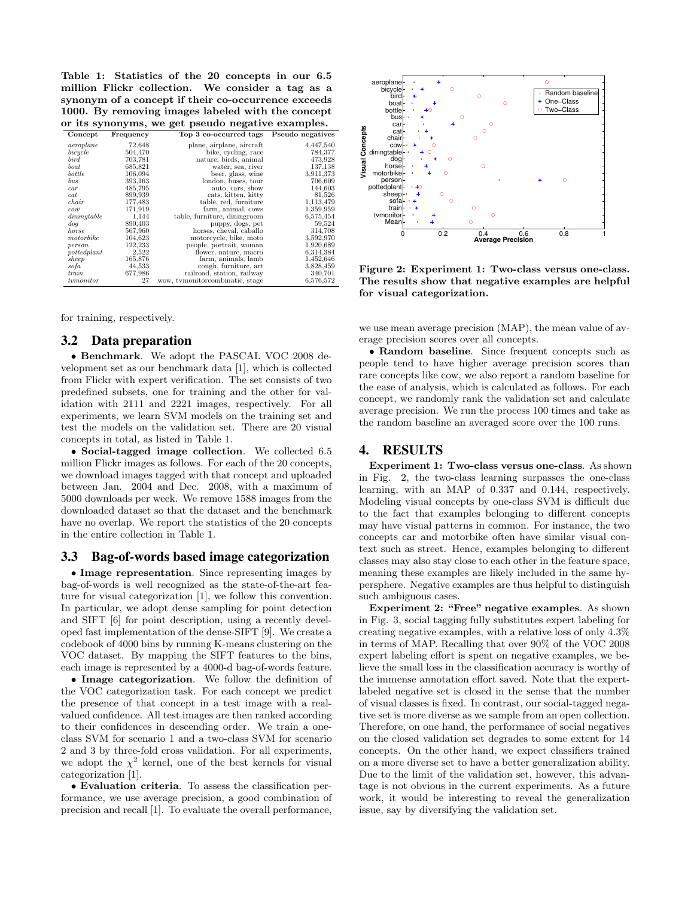Table 1: Statistics of the 20 concepts in our 6.5 million Flickr collection. We consider a tag as a synonym of a concept if their co-occurrence exceeds 1000. By removing images labeled with the concept or its synonyms, we get pseudo negative examples.

| Concept      | Frequency | Top 3 co-occurred tags          | Pseudo negatives |
|--------------|-----------|---------------------------------|------------------|
| aeroplane    | 72,648    | plane, airplane, aircraft       | 4,447,540        |
| bicycle      | 504,470   | bike, cycling, race             | 784,377          |
| $_{bird}$    | 703,781   | nature, birds, animal           | 473,928          |
| boat         | 685,821   | water, sea, river               | 137,138          |
| bottle       | 106,094   | beer, glass, wine               | 3,911,373        |
| $_{bus}$     | 393,163   | london, buses, tour             | 706,609          |
| car          | 485,795   | auto, cars, show                | 144,603          |
| cat          | 899,939   | cats, kitten, kitty             | 81,526           |
| chair        | 177,483   | table, red, furniture           | 1,113,479        |
| cow          | 171,919   | farm, animal, cows              | 1,359,959        |
| dining table | 1,144     | table, furniture, diningroom    | 6,575,454        |
| $d$ oq       | 890,403   | puppy, dogs, pet                | 59,524           |
| horse        | 567,960   | horses, cheval, caballo         | 314,708          |
| motorbike    | 104,623   | motorcycle, bike, moto          | 3,592,970        |
| person       | 122,233   | people, portrait, woman         | 1,920,689        |
| pottedplant  | 2,522     | flower, nature, macro           | 6.314.384        |
| sheep        | 165,876   | farm, animals, lamb             | 1,452,646        |
| sofa         | 44,533    | cough, furniture, art           | 3,828,459        |
| train        | 677,986   | railroad, station, railway      | 340,701          |
| tymonitor    | 27        | wow, tymonitorcombinatie, stage | 6,576,572        |

for training, respectively.

#### **3.2 Data preparation**

• Benchmark. We adopt the PASCAL VOC 2008 development set as our benchmark data [1], which is collected from Flickr with expert verification. The set consists of two predefined subsets, one for training and the other for validation with 2111 and 2221 images, respectively. For all experiments, we learn SVM models on the training set and test the models on the validation set. There are 20 visual concepts in total, as listed in Table 1.

• Social-tagged image collection. We collected 6.5 million Flickr images as follows. For each of the 20 concepts, we download images tagged with that concept and uploaded between Jan. 2004 and Dec. 2008, with a maximum of 5000 downloads per week. We remove 1588 images from the downloaded dataset so that the dataset and the benchmark have no overlap. We report the statistics of the 20 concepts in the entire collection in Table 1.

#### **3.3 Bag-of-words based image categorization**

• Image representation. Since representing images by bag-of-words is well recognized as the state-of-the-art feature for visual categorization [1], we follow this convention. In particular, we adopt dense sampling for point detection and SIFT [6] for point description, using a recently developed fast implementation of the dense-SIFT [9]. We create a codebook of 4000 bins by running K-means clustering on the VOC dataset. By mapping the SIFT features to the bins, each image is represented by a 4000-d bag-of-words feature.

• Image categorization. We follow the definition of the VOC categorization task. For each concept we predict the presence of that concept in a test image with a realvalued confidence. All test images are then ranked according to their confidences in descending order. We train a oneclass SVM for scenario 1 and a two-class SVM for scenario 2 and 3 by three-fold cross validation. For all experiments, we adopt the  $\chi^2$  kernel, one of the best kernels for visual categorization [1].

• Evaluation criteria. To assess the classification performance, we use average precision, a good combination of precision and recall [1]. To evaluate the overall performance,



Figure 2: Experiment 1: Two-class versus one-class. The results show that negative examples are helpful for visual categorization.

we use mean average precision (MAP), the mean value of average precision scores over all concepts.

• Random baseline. Since frequent concepts such as people tend to have higher average precision scores than rare concepts like cow, we also report a random baseline for the ease of analysis, which is calculated as follows. For each concept, we randomly rank the validation set and calculate average precision. We run the process 100 times and take as the random baseline an averaged score over the 100 runs.

## **4. RESULTS**

Experiment 1: Two-class versus one-class. As shown in Fig. 2, the two-class learning surpasses the one-class learning, with an MAP of 0.337 and 0.144, respectively. Modeling visual concepts by one-class SVM is difficult due to the fact that examples belonging to different concepts may have visual patterns in common. For instance, the two concepts car and motorbike often have similar visual context such as street. Hence, examples belonging to different classes may also stay close to each other in the feature space, meaning these examples are likely included in the same hypersphere. Negative examples are thus helpful to distinguish such ambiguous cases.

Experiment 2: "Free" negative examples. As shown in Fig. 3, social tagging fully substitutes expert labeling for creating negative examples, with a relative loss of only 4.3% in terms of MAP. Recalling that over 90% of the VOC 2008 expert labeling effort is spent on negative examples, we believe the small loss in the classification accuracy is worthy of the immense annotation effort saved. Note that the expertlabeled negative set is closed in the sense that the number of visual classes is fixed. In contrast, our social-tagged negative set is more diverse as we sample from an open collection. Therefore, on one hand, the performance of social negatives on the closed validation set degrades to some extent for 14 concepts. On the other hand, we expect classifiers trained on a more diverse set to have a better generalization ability. Due to the limit of the validation set, however, this advantage is not obvious in the current experiments. As a future work, it would be interesting to reveal the generalization issue, say by diversifying the validation set.